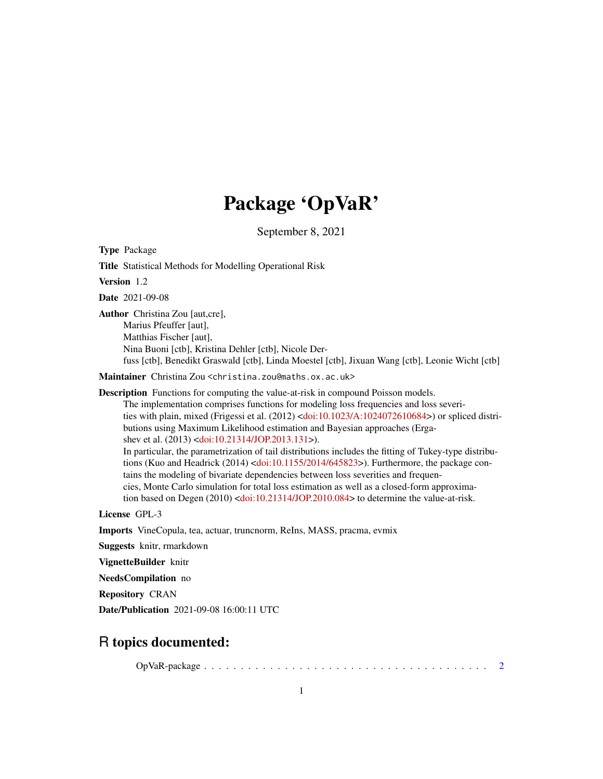# Package 'OpVaR'

September 8, 2021

<span id="page-0-0"></span>Type Package

Version 1.2 Date 2021-09-08 Author Christina Zou [aut,cre], Marius Pfeuffer [aut],

Matthias Fischer [aut], Nina Buoni [ctb], Kristina Dehler [ctb], Nicole Derfuss [ctb], Benedikt Graswald [ctb], Linda Moestel [ctb], Jixuan Wang [ctb], Leonie Wicht [ctb]

Maintainer Christina Zou <christina.zou@maths.ox.ac.uk>

Title Statistical Methods for Modelling Operational Risk

Description Functions for computing the value-at-risk in compound Poisson models. The implementation comprises functions for modeling loss frequencies and loss severities with plain, mixed (Frigessi et al. (2012) [<doi:10.1023/A:1024072610684>](https://doi.org/10.1023/A:1024072610684)) or spliced distributions using Maximum Likelihood estimation and Bayesian approaches (Erga-shev et al. (2013) [<doi:10.21314/JOP.2013.131>](https://doi.org/10.21314/JOP.2013.131)). In particular, the parametrization of tail distributions includes the fitting of Tukey-type distributions (Kuo and Headrick (2014) [<doi:10.1155/2014/645823>](https://doi.org/10.1155/2014/645823)). Furthermore, the package contains the modeling of bivariate dependencies between loss severities and frequencies, Monte Carlo simulation for total loss estimation as well as a closed-form approximation based on Degen (2010) [<doi:10.21314/JOP.2010.084>](https://doi.org/10.21314/JOP.2010.084) to determine the value-at-risk.

License GPL-3

Imports VineCopula, tea, actuar, truncnorm, ReIns, MASS, pracma, evmix

Suggests knitr, rmarkdown

VignetteBuilder knitr

NeedsCompilation no

Repository CRAN

Date/Publication 2021-09-08 16:00:11 UTC

# R topics documented:

OpVaR-package . . . . . . . . . . . . . . . . . . . . . . . . . . . . . . . . . . . . . . . [2](#page-1-0)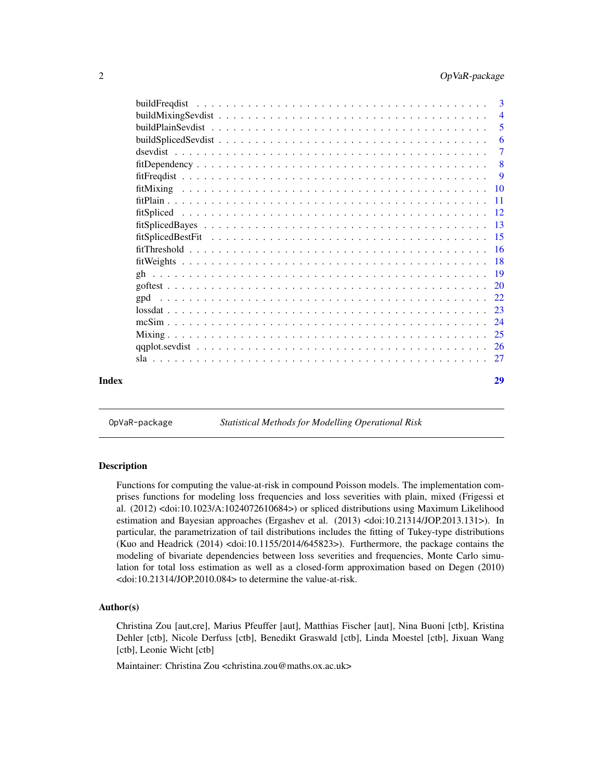<span id="page-1-0"></span>

|       | $\overline{4}$ |
|-------|----------------|
|       | 5              |
|       | 6              |
|       | 7              |
|       | $-8$           |
|       | 9              |
|       |                |
|       |                |
|       |                |
|       |                |
|       |                |
|       |                |
|       |                |
|       |                |
|       |                |
|       |                |
|       |                |
|       |                |
|       |                |
|       |                |
|       |                |
| Index | 29             |
|       |                |

OpVaR-package *Statistical Methods for Modelling Operational Risk*

# Description

Functions for computing the value-at-risk in compound Poisson models. The implementation comprises functions for modeling loss frequencies and loss severities with plain, mixed (Frigessi et al. (2012) <doi:10.1023/A:1024072610684>) or spliced distributions using Maximum Likelihood estimation and Bayesian approaches (Ergashev et al. (2013) <doi:10.21314/JOP.2013.131>). In particular, the parametrization of tail distributions includes the fitting of Tukey-type distributions (Kuo and Headrick (2014) <doi:10.1155/2014/645823>). Furthermore, the package contains the modeling of bivariate dependencies between loss severities and frequencies, Monte Carlo simulation for total loss estimation as well as a closed-form approximation based on Degen (2010) <doi:10.21314/JOP.2010.084> to determine the value-at-risk.

#### Author(s)

Christina Zou [aut,cre], Marius Pfeuffer [aut], Matthias Fischer [aut], Nina Buoni [ctb], Kristina Dehler [ctb], Nicole Derfuss [ctb], Benedikt Graswald [ctb], Linda Moestel [ctb], Jixuan Wang [ctb], Leonie Wicht [ctb]

Maintainer: Christina Zou <christina.zou@maths.ox.ac.uk>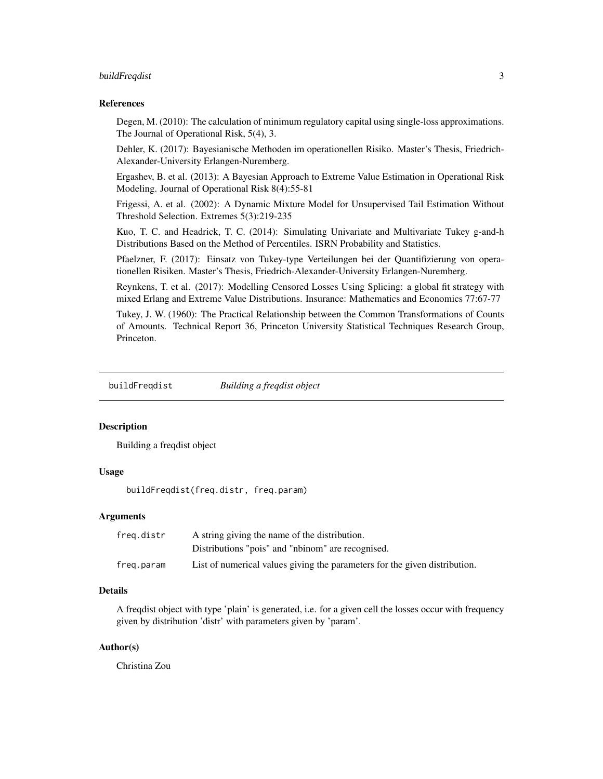# <span id="page-2-0"></span>buildFreqdist 3

#### References

Degen, M. (2010): The calculation of minimum regulatory capital using single-loss approximations. The Journal of Operational Risk, 5(4), 3.

Dehler, K. (2017): Bayesianische Methoden im operationellen Risiko. Master's Thesis, Friedrich-Alexander-University Erlangen-Nuremberg.

Ergashev, B. et al. (2013): A Bayesian Approach to Extreme Value Estimation in Operational Risk Modeling. Journal of Operational Risk 8(4):55-81

Frigessi, A. et al. (2002): A Dynamic Mixture Model for Unsupervised Tail Estimation Without Threshold Selection. Extremes 5(3):219-235

Kuo, T. C. and Headrick, T. C. (2014): Simulating Univariate and Multivariate Tukey g-and-h Distributions Based on the Method of Percentiles. ISRN Probability and Statistics.

Pfaelzner, F. (2017): Einsatz von Tukey-type Verteilungen bei der Quantifizierung von operationellen Risiken. Master's Thesis, Friedrich-Alexander-University Erlangen-Nuremberg.

Reynkens, T. et al. (2017): Modelling Censored Losses Using Splicing: a global fit strategy with mixed Erlang and Extreme Value Distributions. Insurance: Mathematics and Economics 77:67-77

Tukey, J. W. (1960): The Practical Relationship between the Common Transformations of Counts of Amounts. Technical Report 36, Princeton University Statistical Techniques Research Group, Princeton.

<span id="page-2-1"></span>buildFreqdist *Building a freqdist object*

# Description

Building a freqdist object

# Usage

buildFreqdist(freq.distr, freq.param)

#### Arguments

| frea.distr | A string giving the name of the distribution.                              |
|------------|----------------------------------------------------------------------------|
|            | Distributions "pois" and "nbinom" are recognised.                          |
| freg.param | List of numerical values giving the parameters for the given distribution. |

# Details

A freqdist object with type 'plain' is generated, i.e. for a given cell the losses occur with frequency given by distribution 'distr' with parameters given by 'param'.

# Author(s)

Christina Zou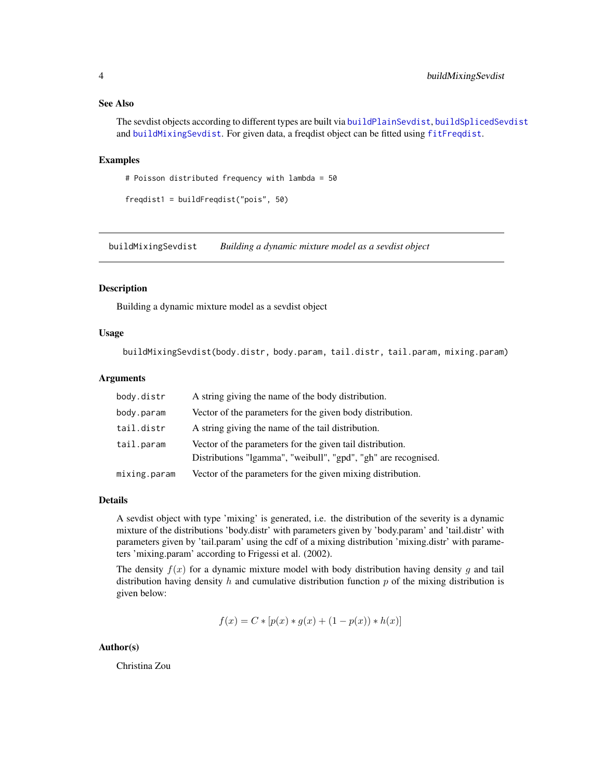# <span id="page-3-0"></span>See Also

The sevdist objects according to different types are built via [buildPlainSevdist](#page-4-1), [buildSplicedSevdist](#page-5-1) and [buildMixingSevdist](#page-3-1). For given data, a freqdist object can be fitted using [fitFreqdist](#page-8-1).

#### Examples

```
# Poisson distributed frequency with lambda = 50
```

```
freqdist1 = buildFreqdist("pois", 50)
```
<span id="page-3-1"></span>buildMixingSevdist *Building a dynamic mixture model as a sevdist object*

#### Description

Building a dynamic mixture model as a sevdist object

#### Usage

buildMixingSevdist(body.distr, body.param, tail.distr, tail.param, mixing.param)

#### Arguments

| body.distr   | A string giving the name of the body distribution.             |
|--------------|----------------------------------------------------------------|
| body.param   | Vector of the parameters for the given body distribution.      |
| tail.distr   | A string giving the name of the tail distribution.             |
| tail.param   | Vector of the parameters for the given tail distribution.      |
|              | Distributions "Igamma", "weibull", "gpd", "gh" are recognised. |
| mixing.param | Vector of the parameters for the given mixing distribution.    |

#### Details

A sevdist object with type 'mixing' is generated, i.e. the distribution of the severity is a dynamic mixture of the distributions 'body.distr' with parameters given by 'body.param' and 'tail.distr' with parameters given by 'tail.param' using the cdf of a mixing distribution 'mixing.distr' with parameters 'mixing.param' according to Frigessi et al. (2002).

The density  $f(x)$  for a dynamic mixture model with body distribution having density g and tail distribution having density h and cumulative distribution function p of the mixing distribution is given below:

$$
f(x) = C * [p(x) * g(x) + (1 - p(x)) * h(x)]
$$

#### Author(s)

Christina Zou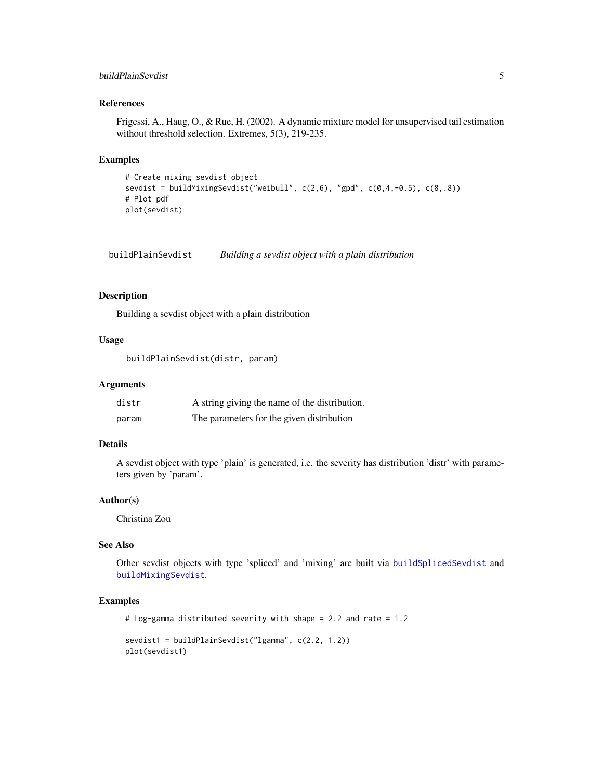# <span id="page-4-0"></span>buildPlainSevdist 5

# References

Frigessi, A., Haug, O., & Rue, H. (2002). A dynamic mixture model for unsupervised tail estimation without threshold selection. Extremes, 5(3), 219-235.

#### Examples

```
# Create mixing sevdist object
sevdist = buildMixingSevdist("weibull", c(2,6), "gpd", c(0,4,-0.5), c(8,.8))
# Plot pdf
plot(sevdist)
```
<span id="page-4-1"></span>buildPlainSevdist *Building a sevdist object with a plain distribution*

# Description

Building a sevdist object with a plain distribution

# Usage

buildPlainSevdist(distr, param)

#### **Arguments**

| distr | A string giving the name of the distribution. |
|-------|-----------------------------------------------|
| param | The parameters for the given distribution     |

# Details

A sevdist object with type 'plain' is generated, i.e. the severity has distribution 'distr' with parameters given by 'param'.

#### Author(s)

Christina Zou

# See Also

Other sevdist objects with type 'spliced' and 'mixing' are built via [buildSplicedSevdist](#page-5-1) and [buildMixingSevdist](#page-3-1).

```
# Log-gamma distributed severity with shape = 2.2 and rate = 1.2
sevdist1 = buildPlainSevdist("lgamma", c(2.2, 1.2))
plot(sevdist1)
```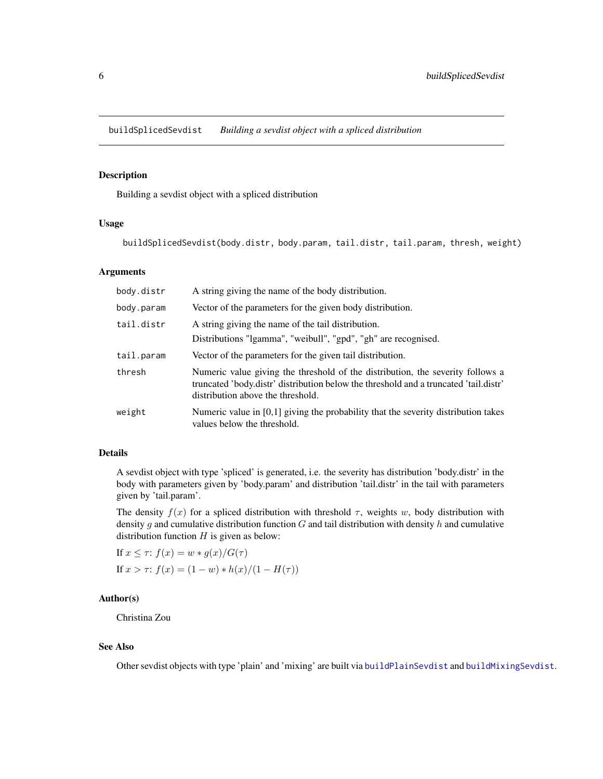<span id="page-5-1"></span><span id="page-5-0"></span>buildSplicedSevdist *Building a sevdist object with a spliced distribution*

# Description

Building a sevdist object with a spliced distribution

#### Usage

buildSplicedSevdist(body.distr, body.param, tail.distr, tail.param, thresh, weight)

#### Arguments

| body.distr | A string giving the name of the body distribution.                                                                                                                                                          |
|------------|-------------------------------------------------------------------------------------------------------------------------------------------------------------------------------------------------------------|
| body.param | Vector of the parameters for the given body distribution.                                                                                                                                                   |
| tail.distr | A string giving the name of the tail distribution.<br>Distributions "Igamma", "weibull", "gpd", "gh" are recognised.                                                                                        |
| tail.param | Vector of the parameters for the given tail distribution.                                                                                                                                                   |
| thresh     | Numeric value giving the threshold of the distribution, the severity follows a<br>truncated 'body.distr' distribution below the threshold and a truncated 'tail.distr'<br>distribution above the threshold. |
| weight     | Numeric value in $[0,1]$ giving the probability that the severity distribution takes<br>values below the threshold.                                                                                         |

# Details

A sevdist object with type 'spliced' is generated, i.e. the severity has distribution 'body.distr' in the body with parameters given by 'body.param' and distribution 'tail.distr' in the tail with parameters given by 'tail.param'.

The density  $f(x)$  for a spliced distribution with threshold  $\tau$ , weights w, body distribution with density g and cumulative distribution function G and tail distribution with density h and cumulative distribution function  $H$  is given as below:

If 
$$
x \le \tau
$$
:  $f(x) = w * g(x)/G(\tau)$   
\nIf  $x > \tau$ :  $f(x) = (1 - w) * h(x)/(1 - H(\tau))$ 

# Author(s)

Christina Zou

# See Also

Other sevdist objects with type 'plain' and 'mixing' are built via [buildPlainSevdist](#page-4-1) and [buildMixingSevdist](#page-3-1).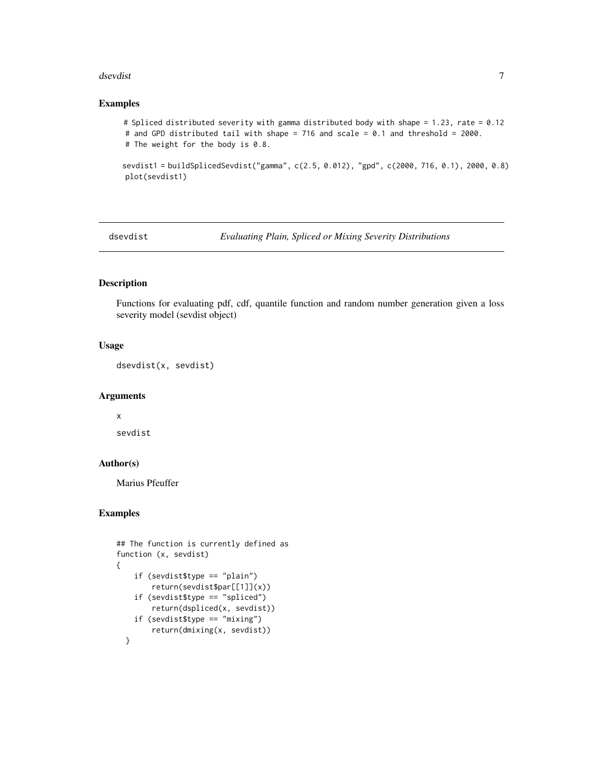#### <span id="page-6-0"></span>dsevdist 7 and 3 and 3 and 3 and 3 and 3 and 3 and 3 and 3 and 3 and 3 and 3 and 3 and 3 and 3 and 3 and 3 and 3 and 3 and 3 and 3 and 3 and 3 and 3 and 3 and 3 and 3 and 3 and 3 and 3 and 3 and 3 and 3 and 3 and 3 and 3 a

# Examples

```
# Spliced distributed severity with gamma distributed body with shape = 1.23, rate = 0.12
# and GPD distributed tail with shape = 716 and scale = 0.1 and threshold = 2000.
# The weight for the body is 0.8.
```
sevdist1 = buildSplicedSevdist("gamma", c(2.5, 0.012), "gpd", c(2000, 716, 0.1), 2000, 0.8) plot(sevdist1)

dsevdist *Evaluating Plain, Spliced or Mixing Severity Distributions*

# Description

Functions for evaluating pdf, cdf, quantile function and random number generation given a loss severity model (sevdist object)

# Usage

dsevdist(x, sevdist)

## Arguments

x

sevdist

# Author(s)

Marius Pfeuffer

```
## The function is currently defined as
function (x, sevdist)
{
    if (sevdist$type == "plain")
        return(sevdist$par[[1]](x))
    if (sevdist$type == "spliced")
        return(dspliced(x, sevdist))
    if (sevdist$type == "mixing")
        return(dmixing(x, sevdist))
 }
```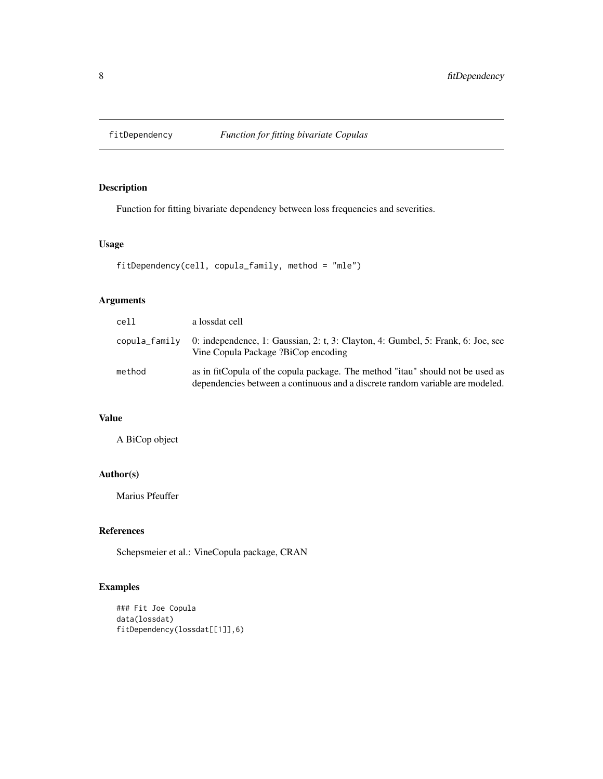<span id="page-7-0"></span>

Function for fitting bivariate dependency between loss frequencies and severities.

# Usage

```
fitDependency(cell, copula_family, method = "mle")
```
# Arguments

| cell          | a lossdat cell                                                                                                                                                  |
|---------------|-----------------------------------------------------------------------------------------------------------------------------------------------------------------|
| copula_family | 0: independence, 1: Gaussian, 2: t, 3: Clayton, 4: Gumbel, 5: Frank, 6: Joe, see<br>Vine Copula Package ?BiCop encoding                                         |
| method        | as in fitCopula of the copula package. The method "itau" should not be used as<br>dependencies between a continuous and a discrete random variable are modeled. |

# Value

A BiCop object

# Author(s)

Marius Pfeuffer

# References

Schepsmeier et al.: VineCopula package, CRAN

```
### Fit Joe Copula
data(lossdat)
fitDependency(lossdat[[1]],6)
```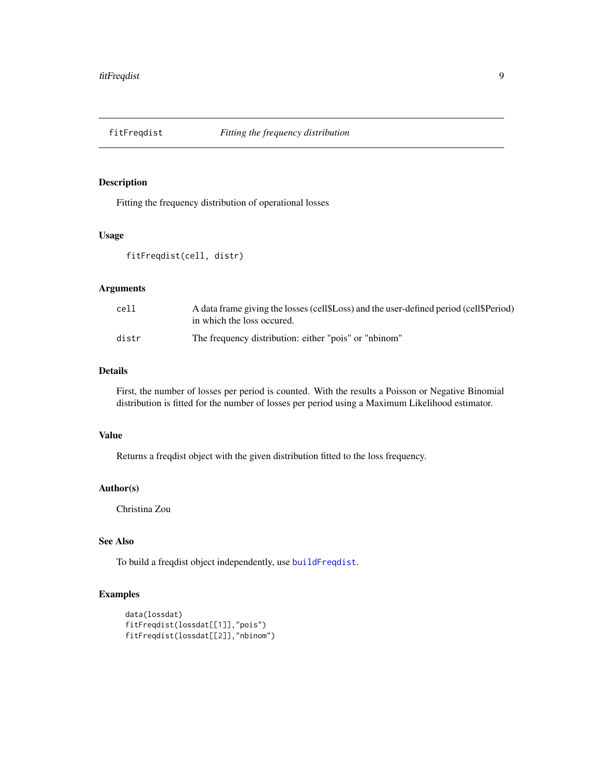<span id="page-8-1"></span><span id="page-8-0"></span>

Fitting the frequency distribution of operational losses

# Usage

```
fitFreqdist(cell, distr)
```
# Arguments

| cell  | A data frame giving the losses (cell\$Loss) and the user-defined period (cell\$Period)<br>in which the loss occured. |
|-------|----------------------------------------------------------------------------------------------------------------------|
| distr | The frequency distribution: either "pois" or "nbinom"                                                                |

# Details

First, the number of losses per period is counted. With the results a Poisson or Negative Binomial distribution is fitted for the number of losses per period using a Maximum Likelihood estimator.

# Value

Returns a freqdist object with the given distribution fitted to the loss frequency.

# Author(s)

Christina Zou

# See Also

To build a freqdist object independently, use [buildFreqdist](#page-2-1).

```
data(lossdat)
fitFreqdist(lossdat[[1]],"pois")
fitFreqdist(lossdat[[2]],"nbinom")
```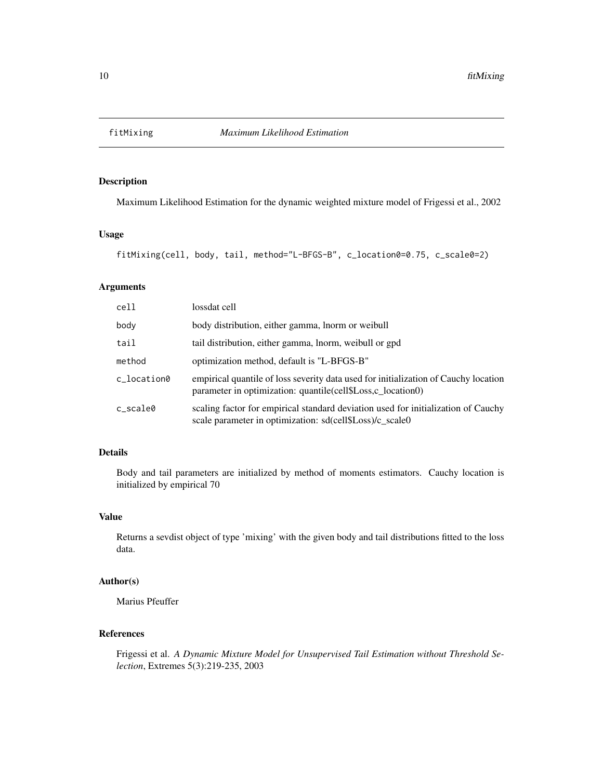<span id="page-9-0"></span>

Maximum Likelihood Estimation for the dynamic weighted mixture model of Frigessi et al., 2002

# Usage

```
fitMixing(cell, body, tail, method="L-BFGS-B", c_location0=0.75, c_scale0=2)
```
# Arguments

| cell        | lossdat cell                                                                                                                                       |
|-------------|----------------------------------------------------------------------------------------------------------------------------------------------------|
| body        | body distribution, either gamma, lnorm or weibull                                                                                                  |
| tail        | tail distribution, either gamma, lnorm, weibull or gpd                                                                                             |
| method      | optimization method, default is "L-BFGS-B"                                                                                                         |
| c location0 | empirical quantile of loss severity data used for initialization of Cauchy location<br>parameter in optimization: quantile(cell\$Loss,c_location0) |
| c_scale0    | scaling factor for empirical standard deviation used for initialization of Cauchy<br>scale parameter in optimization: sd(cell\$Loss)/c_scale0      |

# Details

Body and tail parameters are initialized by method of moments estimators. Cauchy location is initialized by empirical 70

#### Value

Returns a sevdist object of type 'mixing' with the given body and tail distributions fitted to the loss data.

#### Author(s)

Marius Pfeuffer

# References

Frigessi et al. *A Dynamic Mixture Model for Unsupervised Tail Estimation without Threshold Selection*, Extremes 5(3):219-235, 2003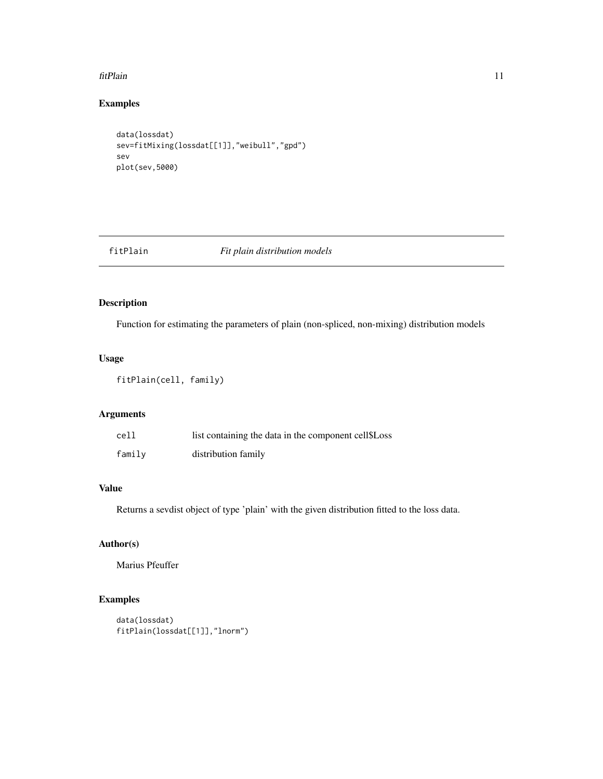#### <span id="page-10-0"></span>fitPlain 11

# Examples

```
data(lossdat)
sev=fitMixing(lossdat[[1]],"weibull","gpd")
sev
plot(sev,5000)
```
# fitPlain *Fit plain distribution models*

# Description

Function for estimating the parameters of plain (non-spliced, non-mixing) distribution models

# Usage

```
fitPlain(cell, family)
```
# Arguments

| cell   | list containing the data in the component cell\$Loss |
|--------|------------------------------------------------------|
| family | distribution family                                  |

# Value

Returns a sevdist object of type 'plain' with the given distribution fitted to the loss data.

# Author(s)

Marius Pfeuffer

```
data(lossdat)
fitPlain(lossdat[[1]],"lnorm")
```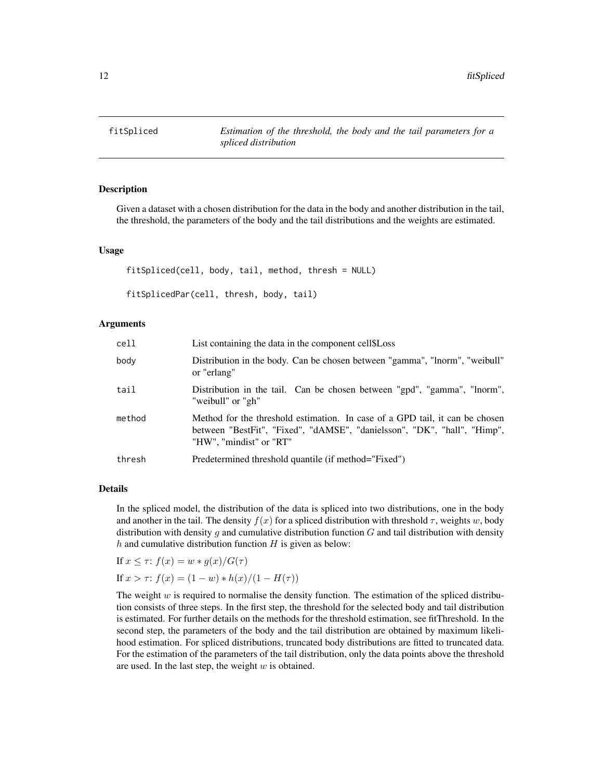<span id="page-11-0"></span>

Given a dataset with a chosen distribution for the data in the body and another distribution in the tail, the threshold, the parameters of the body and the tail distributions and the weights are estimated.

# Usage

fitSpliced(cell, body, tail, method, thresh = NULL)

```
fitSplicedPar(cell, thresh, body, tail)
```
# Arguments

| cell   | List containing the data in the component cell \$Loss                                                                                                                               |
|--------|-------------------------------------------------------------------------------------------------------------------------------------------------------------------------------------|
| body   | Distribution in the body. Can be chosen between "gamma", "lnorm", "weibull"<br>or "erlang"                                                                                          |
| tail   | Distribution in the tail. Can be chosen between "gpd", "gamma", "lnorm",<br>"weibull" or "gh"                                                                                       |
| method | Method for the threshold estimation. In case of a GPD tail, it can be chosen<br>between "BestFit", "Fixed", "dAMSE", "danielsson", "DK", "hall", "Himp",<br>"HW", "mindist" or "RT" |
| thresh | Predetermined threshold quantile (if method="Fixed")                                                                                                                                |

# Details

In the spliced model, the distribution of the data is spliced into two distributions, one in the body and another in the tail. The density  $f(x)$  for a spliced distribution with threshold  $\tau$ , weights w, body distribution with density q and cumulative distribution function  $G$  and tail distribution with density  $h$  and cumulative distribution function  $H$  is given as below:

If  $x \leq \tau$ :  $f(x) = w * g(x)/G(\tau)$ 

If  $x > \tau$ :  $f(x) = (1 - w) * h(x)/(1 - H(\tau))$ 

The weight  $w$  is required to normalise the density function. The estimation of the spliced distribution consists of three steps. In the first step, the threshold for the selected body and tail distribution is estimated. For further details on the methods for the threshold estimation, see fitThreshold. In the second step, the parameters of the body and the tail distribution are obtained by maximum likelihood estimation. For spliced distributions, truncated body distributions are fitted to truncated data. For the estimation of the parameters of the tail distribution, only the data points above the threshold are used. In the last step, the weight  $w$  is obtained.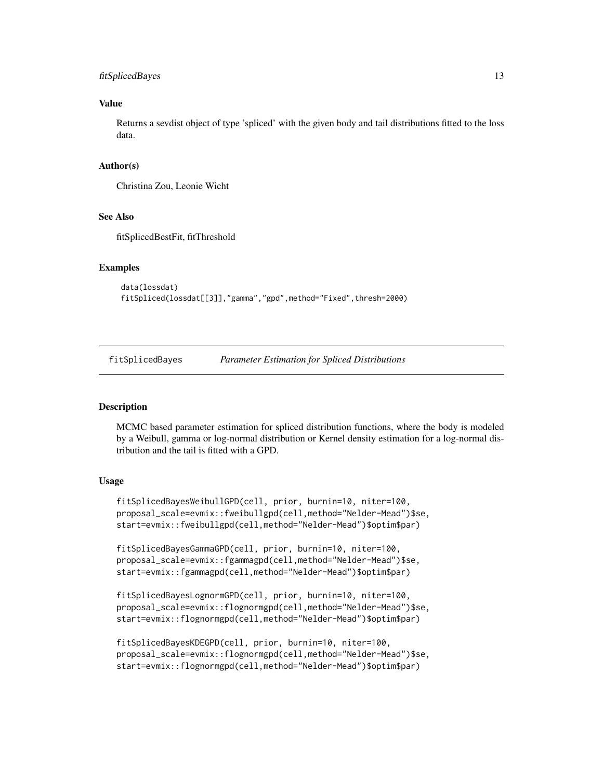#### <span id="page-12-0"></span>fitSplicedBayes 13

# Value

Returns a sevdist object of type 'spliced' with the given body and tail distributions fitted to the loss data.

#### Author(s)

Christina Zou, Leonie Wicht

# See Also

fitSplicedBestFit, fitThreshold

#### Examples

```
data(lossdat)
fitSpliced(lossdat[[3]],"gamma","gpd",method="Fixed",thresh=2000)
```
fitSplicedBayes *Parameter Estimation for Spliced Distributions*

#### **Description**

MCMC based parameter estimation for spliced distribution functions, where the body is modeled by a Weibull, gamma or log-normal distribution or Kernel density estimation for a log-normal distribution and the tail is fitted with a GPD.

# Usage

fitSplicedBayesWeibullGPD(cell, prior, burnin=10, niter=100, proposal\_scale=evmix::fweibullgpd(cell,method="Nelder-Mead")\$se, start=evmix::fweibullgpd(cell,method="Nelder-Mead")\$optim\$par)

```
fitSplicedBayesGammaGPD(cell, prior, burnin=10, niter=100,
proposal_scale=evmix::fgammagpd(cell,method="Nelder-Mead")$se,
start=evmix::fgammagpd(cell,method="Nelder-Mead")$optim$par)
```

```
fitSplicedBayesLognormGPD(cell, prior, burnin=10, niter=100,
proposal_scale=evmix::flognormgpd(cell,method="Nelder-Mead")$se,
start=evmix::flognormgpd(cell,method="Nelder-Mead")$optim$par)
```

```
fitSplicedBayesKDEGPD(cell, prior, burnin=10, niter=100,
proposal_scale=evmix::flognormgpd(cell,method="Nelder-Mead")$se,
start=evmix::flognormgpd(cell,method="Nelder-Mead")$optim$par)
```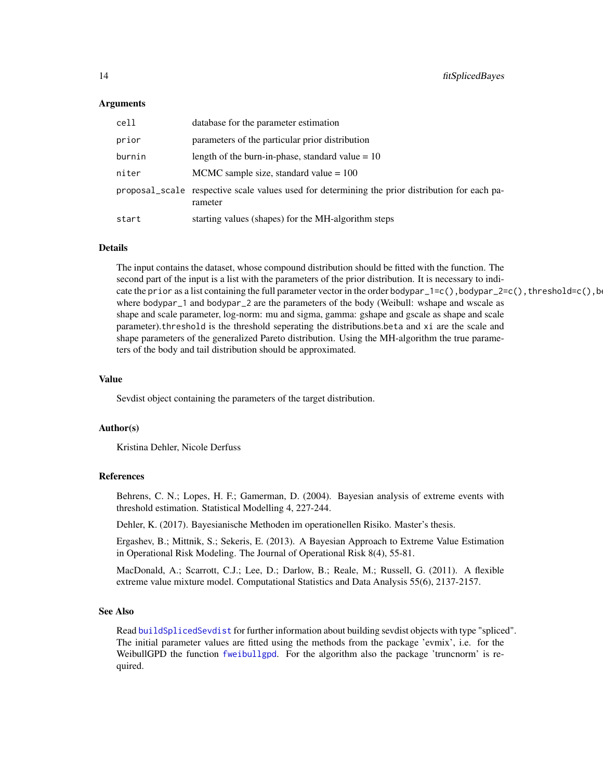#### <span id="page-13-0"></span>Arguments

| cell   | database for the parameter estimation                                                                      |
|--------|------------------------------------------------------------------------------------------------------------|
| prior  | parameters of the particular prior distribution                                                            |
| burnin | length of the burn-in-phase, standard value $= 10$                                                         |
| niter  | MCMC sample size, standard value $= 100$                                                                   |
|        | proposal_scale respective scale values used for determining the prior distribution for each pa-<br>rameter |
| start  | starting values (shapes) for the MH-algorithm steps                                                        |

#### Details

The input contains the dataset, whose compound distribution should be fitted with the function. The second part of the input is a list with the parameters of the prior distribution. It is necessary to indicate the prior as a list containing the full parameter vector in the order bodypar\_1=c(),bodypar\_2=c(),threshold=c(),b where bodypar\_1 and bodypar\_2 are the parameters of the body (Weibull: wshape and wscale as shape and scale parameter, log-norm: mu and sigma, gamma: gshape and gscale as shape and scale parameter).threshold is the threshold seperating the distributions.beta and xi are the scale and shape parameters of the generalized Pareto distribution. Using the MH-algorithm the true parameters of the body and tail distribution should be approximated.

#### Value

Sevdist object containing the parameters of the target distribution.

#### Author(s)

Kristina Dehler, Nicole Derfuss

# References

Behrens, C. N.; Lopes, H. F.; Gamerman, D. (2004). Bayesian analysis of extreme events with threshold estimation. Statistical Modelling 4, 227-244.

Dehler, K. (2017). Bayesianische Methoden im operationellen Risiko. Master's thesis.

Ergashev, B.; Mittnik, S.; Sekeris, E. (2013). A Bayesian Approach to Extreme Value Estimation in Operational Risk Modeling. The Journal of Operational Risk 8(4), 55-81.

MacDonald, A.; Scarrott, C.J.; Lee, D.; Darlow, B.; Reale, M.; Russell, G. (2011). A flexible extreme value mixture model. Computational Statistics and Data Analysis 55(6), 2137-2157.

# See Also

Read [buildSplicedSevdist](#page-5-1) for further information about building sevdist objects with type "spliced". The initial parameter values are fitted using the methods from the package 'evmix', i.e. for the WeibullGPD the function [fweibullgpd](#page-0-0). For the algorithm also the package 'truncnorm' is required.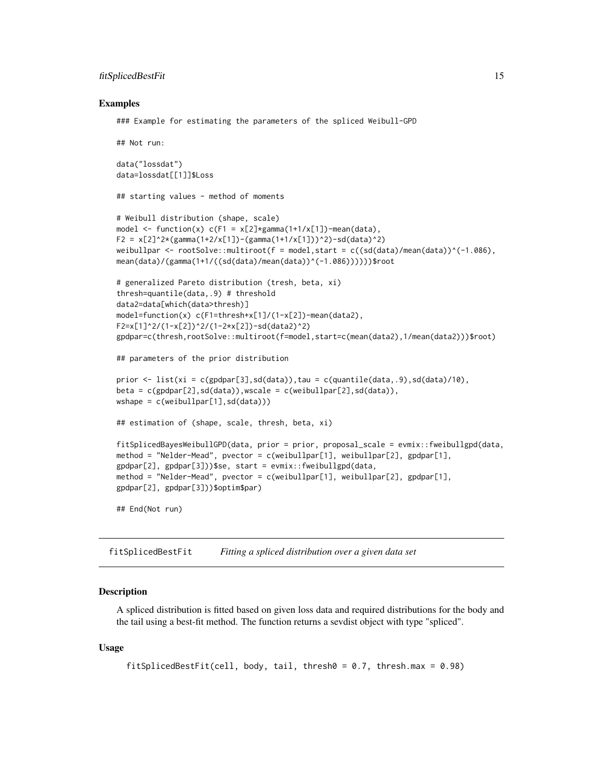#### <span id="page-14-0"></span>fitSplicedBestFit 15

#### Examples

```
### Example for estimating the parameters of the spliced Weibull-GPD
```

```
## Not run:
data("lossdat")
data=lossdat[[1]]$Loss
## starting values - method of moments
# Weibull distribution (shape, scale)
model \le function(x) c(F1 = x[2]*gamma(1+1/x[1])-mean(data),
F2 = x[2]^2*(gamma(1+2/x[1])-(gamma(1+1/x[1]))^2)-sd(data)^2)weibullpar \le rootSolve::multiroot(f = model, start = c((sd(data)/mean(data))^(-1.086),
mean(data)/(gamma(1+1/((sd(data)/mean(data))^(-1.086))))))$root
# generalized Pareto distribution (tresh, beta, xi)
thresh=quantile(data,.9) # threshold
data2=data[which(data>thresh)]
model=function(x) c(F1=thresh+x[1]/(1-x[2])-mean(data2),
F2=x[1]^2/(1-x[2])^2/(1-2*x[2])-sd(data2)^2)
gpdpar=c(thresh,rootSolve::multiroot(f=model,start=c(mean(data2),1/mean(data2)))$root)
## parameters of the prior distribution
prior \leq list(xi = c(gpdpar[3],sd(data)),tau = c(quantile(data,.9),sd(data)/10),
beta = c(gpdpar[2], sd(data)), wscale = c(weibullpar[2], sd(data)),
wshape = c(weibullpar[1],sd(data)))
## estimation of (shape, scale, thresh, beta, xi)
fitSplicedBayesWeibullGPD(data, prior = prior, proposal_scale = evmix::fweibullgpd(data,
method = "Nelder-Mead", pvector = c(weibullpar[1], weibullpar[2], gpdpar[1],
gpdpar[2], gpdpar[3]))$se, start = evmix::fweibullgpd(data,
method = "Nelder-Mead", pvector = c(weibullpar[1], weibullpar[2], gpdpar[1],
gpdpar[2], gpdpar[3]))$optim$par)
## End(Not run)
```
fitSplicedBestFit *Fitting a spliced distribution over a given data set*

#### **Description**

A spliced distribution is fitted based on given loss data and required distributions for the body and the tail using a best-fit method. The function returns a sevdist object with type "spliced".

#### Usage

```
fitSplicedBestFit(cell, body, tail, thresh0 = 0.7, thresh.max = 0.98)
```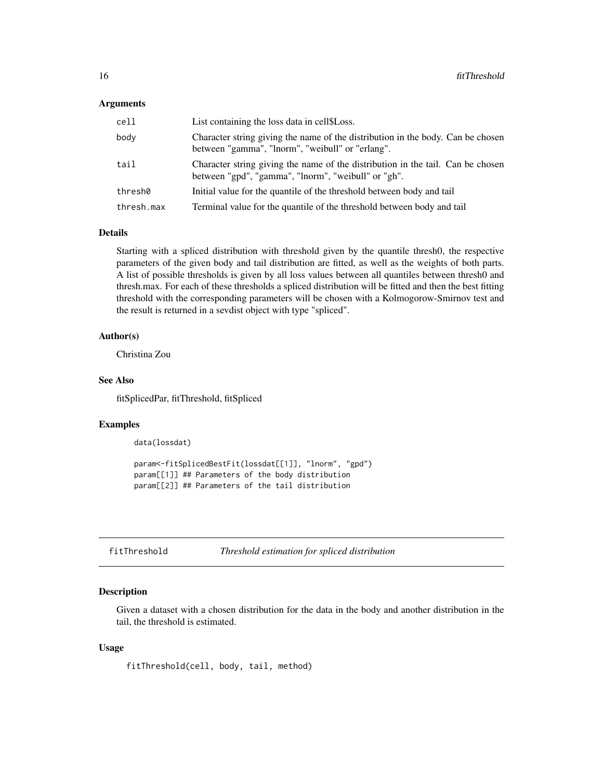#### <span id="page-15-0"></span>Arguments

| cell       | List containing the loss data in cell \$Loss.                                                                                          |
|------------|----------------------------------------------------------------------------------------------------------------------------------------|
| body       | Character string giving the name of the distribution in the body. Can be chosen<br>between "gamma", "lnorm", "weibull" or "erlang".    |
| tail       | Character string giving the name of the distribution in the tail. Can be chosen<br>between "gpd", "gamma", "lnorm", "weibull" or "gh". |
| thresh0    | Initial value for the quantile of the threshold between body and tail                                                                  |
| thresh.max | Terminal value for the quantile of the threshold between body and tail                                                                 |

# Details

Starting with a spliced distribution with threshold given by the quantile thresh0, the respective parameters of the given body and tail distribution are fitted, as well as the weights of both parts. A list of possible thresholds is given by all loss values between all quantiles between thresh0 and thresh.max. For each of these thresholds a spliced distribution will be fitted and then the best fitting threshold with the corresponding parameters will be chosen with a Kolmogorow-Smirnov test and the result is returned in a sevdist object with type "spliced".

# Author(s)

Christina Zou

# See Also

fitSplicedPar, fitThreshold, fitSpliced

#### Examples

data(lossdat)

```
param<-fitSplicedBestFit(lossdat[[1]], "lnorm", "gpd")
param[[1]] ## Parameters of the body distribution
param[[2]] ## Parameters of the tail distribution
```
fitThreshold *Threshold estimation for spliced distribution*

#### Description

Given a dataset with a chosen distribution for the data in the body and another distribution in the tail, the threshold is estimated.

#### Usage

fitThreshold(cell, body, tail, method)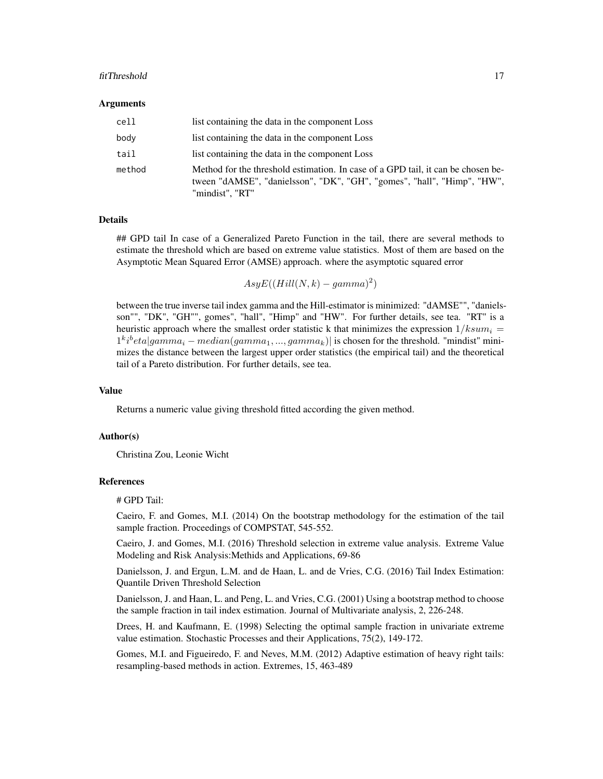#### fitThreshold 17

#### **Arguments**

| cell   | list containing the data in the component Loss                                                                                                                                 |
|--------|--------------------------------------------------------------------------------------------------------------------------------------------------------------------------------|
| body   | list containing the data in the component Loss                                                                                                                                 |
| tail   | list containing the data in the component Loss                                                                                                                                 |
| method | Method for the threshold estimation. In case of a GPD tail, it can be chosen be-<br>tween "dAMSE", "danielsson", "DK", "GH", "gomes", "hall", "Himp", "HW",<br>"mindist", "RT" |

#### Details

## GPD tail In case of a Generalized Pareto Function in the tail, there are several methods to estimate the threshold which are based on extreme value statistics. Most of them are based on the Asymptotic Mean Squared Error (AMSE) approach. where the asymptotic squared error

 $AsyE((Hill(N, k) - gamma)^2)$ 

between the true inverse tail index gamma and the Hill-estimator is minimized: "dAMSE"", "danielsson"", "DK", "GH"", gomes", "hall", "Himp" and "HW". For further details, see tea. "RT" is a heuristic approach where the smallest order statistic k that minimizes the expression  $1/ksum_i =$  $1^{k}i^{b}eta|gamma-i|$  *median*( $gamma_{1},...,gamma_{k}$ ) is chosen for the threshold. "mindist" minimizes the distance between the largest upper order statistics (the empirical tail) and the theoretical tail of a Pareto distribution. For further details, see tea.

# Value

Returns a numeric value giving threshold fitted according the given method.

# Author(s)

Christina Zou, Leonie Wicht

# References

# GPD Tail:

Caeiro, F. and Gomes, M.I. (2014) On the bootstrap methodology for the estimation of the tail sample fraction. Proceedings of COMPSTAT, 545-552.

Caeiro, J. and Gomes, M.I. (2016) Threshold selection in extreme value analysis. Extreme Value Modeling and Risk Analysis:Methids and Applications, 69-86

Danielsson, J. and Ergun, L.M. and de Haan, L. and de Vries, C.G. (2016) Tail Index Estimation: Quantile Driven Threshold Selection

Danielsson, J. and Haan, L. and Peng, L. and Vries, C.G. (2001) Using a bootstrap method to choose the sample fraction in tail index estimation. Journal of Multivariate analysis, 2, 226-248.

Drees, H. and Kaufmann, E. (1998) Selecting the optimal sample fraction in univariate extreme value estimation. Stochastic Processes and their Applications, 75(2), 149-172.

Gomes, M.I. and Figueiredo, F. and Neves, M.M. (2012) Adaptive estimation of heavy right tails: resampling-based methods in action. Extremes, 15, 463-489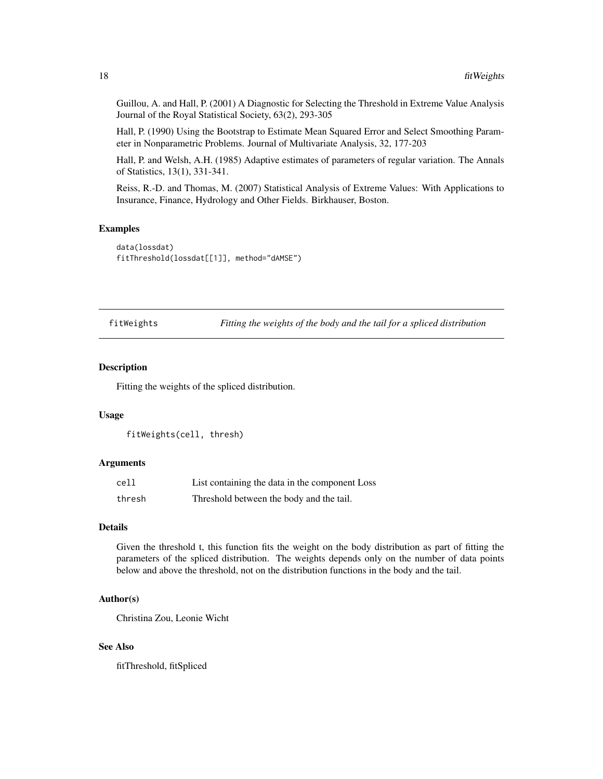Guillou, A. and Hall, P. (2001) A Diagnostic for Selecting the Threshold in Extreme Value Analysis Journal of the Royal Statistical Society, 63(2), 293-305

Hall, P. (1990) Using the Bootstrap to Estimate Mean Squared Error and Select Smoothing Parameter in Nonparametric Problems. Journal of Multivariate Analysis, 32, 177-203

Hall, P. and Welsh, A.H. (1985) Adaptive estimates of parameters of regular variation. The Annals of Statistics, 13(1), 331-341.

Reiss, R.-D. and Thomas, M. (2007) Statistical Analysis of Extreme Values: With Applications to Insurance, Finance, Hydrology and Other Fields. Birkhauser, Boston.

# Examples

```
data(lossdat)
fitThreshold(lossdat[[1]], method="dAMSE")
```
fitWeights *Fitting the weights of the body and the tail for a spliced distribution*

#### Description

Fitting the weights of the spliced distribution.

#### Usage

```
fitWeights(cell, thresh)
```
# Arguments

| cell   | List containing the data in the component Loss |
|--------|------------------------------------------------|
| thresh | Threshold between the body and the tail.       |

# Details

Given the threshold t, this function fits the weight on the body distribution as part of fitting the parameters of the spliced distribution. The weights depends only on the number of data points below and above the threshold, not on the distribution functions in the body and the tail.

#### Author(s)

Christina Zou, Leonie Wicht

# See Also

fitThreshold, fitSpliced

<span id="page-17-0"></span>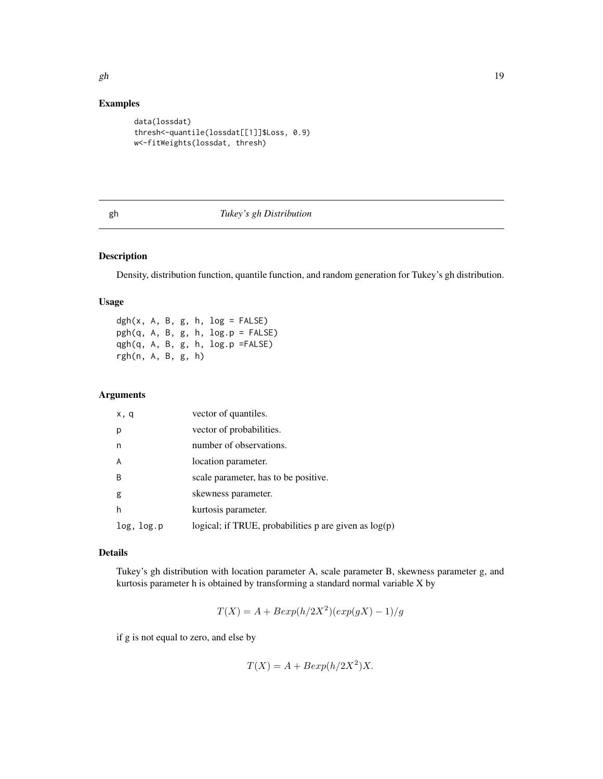# <span id="page-18-0"></span>Examples

```
data(lossdat)
thresh<-quantile(lossdat[[1]]$Loss, 0.9)
w<-fitWeights(lossdat, thresh)
```
# gh *Tukey's gh Distribution*

# Description

Density, distribution function, quantile function, and random generation for Tukey's gh distribution.

# Usage

 $dgh(x, A, B, g, h, log = FALSE)$ pgh(q, A, B, g, h, log.p = FALSE) qgh(q, A, B, g, h, log.p =FALSE) rgh(n, A, B, g, h)

# Arguments

| x, q         | vector of quantiles.                                      |
|--------------|-----------------------------------------------------------|
| р            | vector of probabilities.                                  |
| n            | number of observations.                                   |
| A            | location parameter.                                       |
| <sup>B</sup> | scale parameter, has to be positive.                      |
| g            | skewness parameter.                                       |
| h            | kurtosis parameter.                                       |
| log, log.p   | logical; if TRUE, probabilities $p$ are given as $log(p)$ |

# Details

Tukey's gh distribution with location parameter A, scale parameter B, skewness parameter g, and kurtosis parameter h is obtained by transforming a standard normal variable X by

$$
T(X) = A + Bexp(h/2X^2)(exp(gX) - 1)/g
$$

if g is not equal to zero, and else by

$$
T(X) = A + B \exp(h/2X^2)X.
$$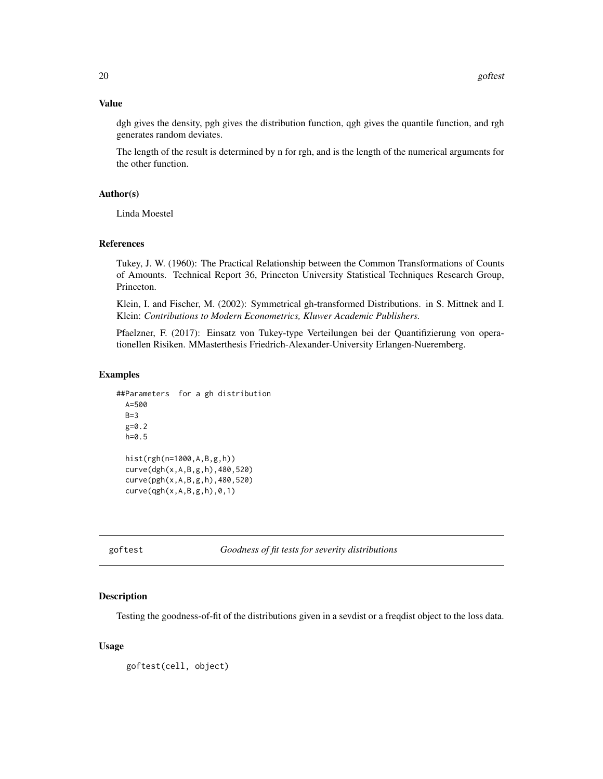# <span id="page-19-0"></span>Value

dgh gives the density, pgh gives the distribution function, qgh gives the quantile function, and rgh generates random deviates.

The length of the result is determined by n for rgh, and is the length of the numerical arguments for the other function.

# Author(s)

Linda Moestel

#### References

Tukey, J. W. (1960): The Practical Relationship between the Common Transformations of Counts of Amounts. Technical Report 36, Princeton University Statistical Techniques Research Group, Princeton.

Klein, I. and Fischer, M. (2002): Symmetrical gh-transformed Distributions. in S. Mittnek and I. Klein: *Contributions to Modern Econometrics, Kluwer Academic Publishers.*

Pfaelzner, F. (2017): Einsatz von Tukey-type Verteilungen bei der Quantifizierung von operationellen Risiken. MMasterthesis Friedrich-Alexander-University Erlangen-Nueremberg.

#### Examples

```
##Parameters for a gh distribution
 A=500
 B=3g=0.2
 h=0.5
 hist(rgh(n=1000,A,B,g,h))
 curve(dgh(x,A,B,g,h),480,520)
 curve(pgh(x,A,B,g,h),480,520)
 curve(qgh(x,A,B,g,h),0,1)
```
goftest *Goodness of fit tests for severity distributions*

#### **Description**

Testing the goodness-of-fit of the distributions given in a sevdist or a freqdist object to the loss data.

# Usage

goftest(cell, object)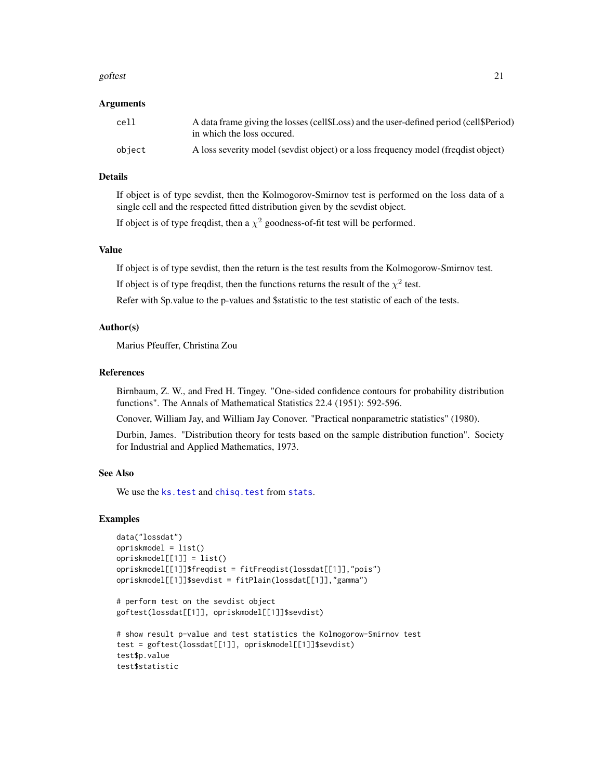#### <span id="page-20-0"></span>goftest 21

#### Arguments

| cell   | A data frame giving the losses (cell \$1,000) and the user-defined period (cell \$1,000)<br>in which the loss occured. |
|--------|------------------------------------------------------------------------------------------------------------------------|
| obiect | A loss severity model (sevel of object) or a loss frequency model (frequenct)                                          |

## Details

If object is of type sevdist, then the Kolmogorov-Smirnov test is performed on the loss data of a single cell and the respected fitted distribution given by the sevdist object.

If object is of type freqdist, then a  $\chi^2$  goodness-of-fit test will be performed.

# Value

If object is of type sevdist, then the return is the test results from the Kolmogorow-Smirnov test.

If object is of type freqdist, then the functions returns the result of the  $\chi^2$  test.

Refer with \$p.value to the p-values and \$statistic to the test statistic of each of the tests.

# Author(s)

Marius Pfeuffer, Christina Zou

# References

Birnbaum, Z. W., and Fred H. Tingey. "One-sided confidence contours for probability distribution functions". The Annals of Mathematical Statistics 22.4 (1951): 592-596.

Conover, William Jay, and William Jay Conover. "Practical nonparametric statistics" (1980).

Durbin, James. "Distribution theory for tests based on the sample distribution function". Society for Industrial and Applied Mathematics, 1973.

#### See Also

We use the ks. test and chisq. test from [stats](#page-0-0).

```
data("lossdat")
opriskmodel = list()
opriskmodel[[1]] = list()
opriskmodel[[1]]$freqdist = fitFreqdist(lossdat[[1]],"pois")
opriskmodel[[1]]$sevdist = fitPlain(lossdat[[1]],"gamma")
# perform test on the sevdist object
goftest(lossdat[[1]], opriskmodel[[1]]$sevdist)
# show result p-value and test statistics the Kolmogorow-Smirnov test
test = goftest(lossdat[[1]], opriskmodel[[1]]$sevdist)
test$p.value
test$statistic
```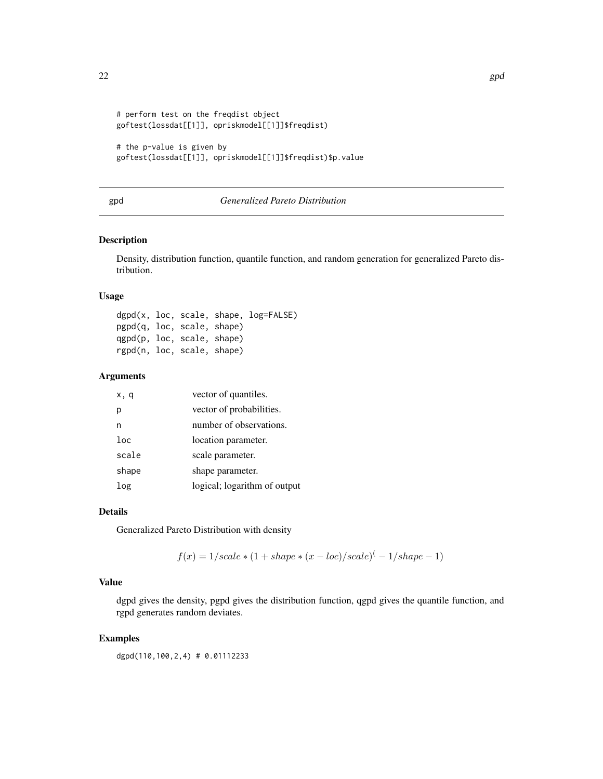```
# perform test on the freqdist object
goftest(lossdat[[1]], opriskmodel[[1]]$freqdist)
```

```
# the p-value is given by
goftest(lossdat[[1]], opriskmodel[[1]]$freqdist)$p.value
```
# gpd *Generalized Pareto Distribution*

# Description

Density, distribution function, quantile function, and random generation for generalized Pareto distribution.

#### Usage

dgpd(x, loc, scale, shape, log=FALSE) pgpd(q, loc, scale, shape) qgpd(p, loc, scale, shape) rgpd(n, loc, scale, shape)

#### Arguments

| x, q   | vector of quantiles.         |
|--------|------------------------------|
| р      | vector of probabilities.     |
| n      | number of observations.      |
| $1$ oc | location parameter.          |
| scale  | scale parameter.             |
| shape  | shape parameter.             |
| log    | logical; logarithm of output |

#### Details

Generalized Pareto Distribution with density

$$
f(x) = 1/scale * (1 + shape * (x - loc)/scale) (-1/shape - 1)
$$

# Value

dgpd gives the density, pgpd gives the distribution function, qgpd gives the quantile function, and rgpd generates random deviates.

# Examples

dgpd(110,100,2,4) # 0.01112233

<span id="page-21-0"></span>22 gpd = contract = contract = contract = contract = contract = contract = contract = contract = contract = co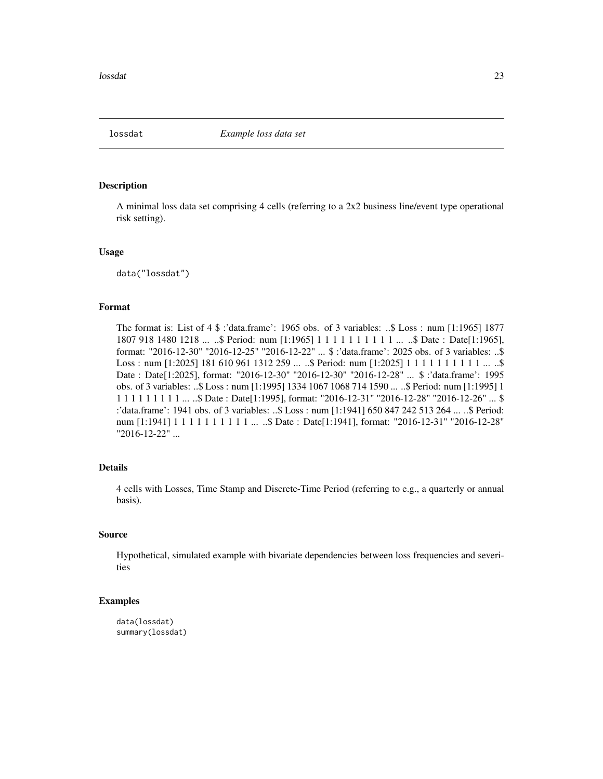<span id="page-22-0"></span>

A minimal loss data set comprising 4 cells (referring to a 2x2 business line/event type operational risk setting).

#### Usage

data("lossdat")

# Format

The format is: List of 4 \$ :'data.frame': 1965 obs. of 3 variables: ..\$ Loss : num [1:1965] 1877 1807 918 1480 1218 ... ..\$ Period: num [1:1965] 1 1 1 1 1 1 1 1 1 1 ... ..\$ Date : Date[1:1965], format: "2016-12-30" "2016-12-25" "2016-12-22" ... \$ :'data.frame': 2025 obs. of 3 variables: ..\$ Loss : num [1:2025] 181 610 961 1312 259 ... ..\$ Period: num [1:2025] 1 1 1 1 1 1 1 1 1 1 ... ..\$ Date : Date[1:2025], format: "2016-12-30" "2016-12-30" "2016-12-28" ... \$ :'data.frame': 1995 obs. of 3 variables: ..\$ Loss : num [1:1995] 1334 1067 1068 714 1590 ... ..\$ Period: num [1:1995] 1 1 1 1 1 1 1 1 1 1 ... ..\$ Date : Date[1:1995], format: "2016-12-31" "2016-12-28" "2016-12-26" ... \$ :'data.frame': 1941 obs. of 3 variables: ..\$ Loss : num [1:1941] 650 847 242 513 264 ... ..\$ Period: num [1:1941] 1 1 1 1 1 1 1 1 1 1 1 ... ..\$ Date : Date [1:1941], format: "2016-12-31" "2016-12-28" "2016-12-22" ...

#### Details

4 cells with Losses, Time Stamp and Discrete-Time Period (referring to e.g., a quarterly or annual basis).

#### Source

Hypothetical, simulated example with bivariate dependencies between loss frequencies and severities

```
data(lossdat)
summary(lossdat)
```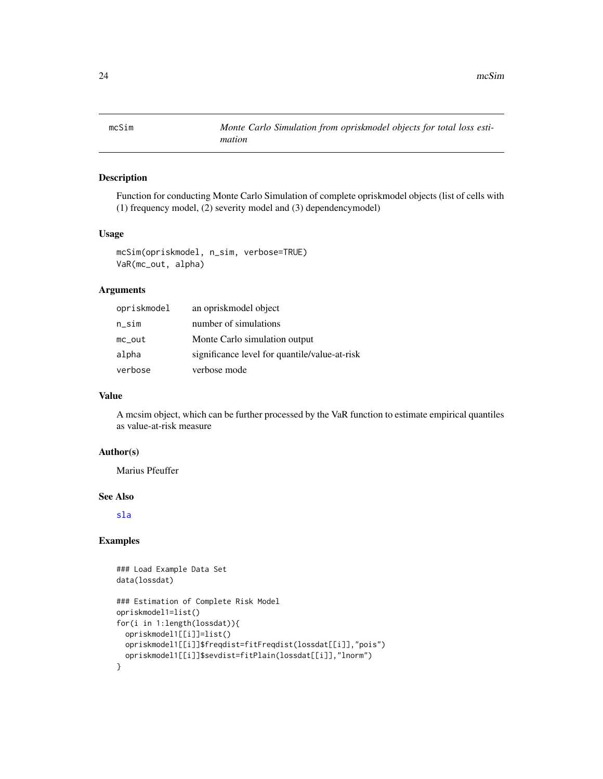<span id="page-23-0"></span>

Function for conducting Monte Carlo Simulation of complete opriskmodel objects (list of cells with (1) frequency model, (2) severity model and (3) dependencymodel)

#### Usage

```
mcSim(opriskmodel, n_sim, verbose=TRUE)
VaR(mc_out, alpha)
```
#### **Arguments**

| opriskmodel | an oprisk model object                        |
|-------------|-----------------------------------------------|
| $n$ _sim    | number of simulations                         |
| $mc_$ out   | Monte Carlo simulation output                 |
| alpha       | significance level for quantile/value-at-risk |
| verbose     | verbose mode                                  |

# Value

A mcsim object, which can be further processed by the VaR function to estimate empirical quantiles as value-at-risk measure

# Author(s)

Marius Pfeuffer

#### See Also

[sla](#page-26-1)

```
### Load Example Data Set
data(lossdat)
### Estimation of Complete Risk Model
opriskmodel1=list()
for(i in 1:length(lossdat)){
 opriskmodel1[[i]]=list()
 opriskmodel1[[i]]$freqdist=fitFreqdist(lossdat[[i]],"pois")
 opriskmodel1[[i]]$sevdist=fitPlain(lossdat[[i]],"lnorm")
}
```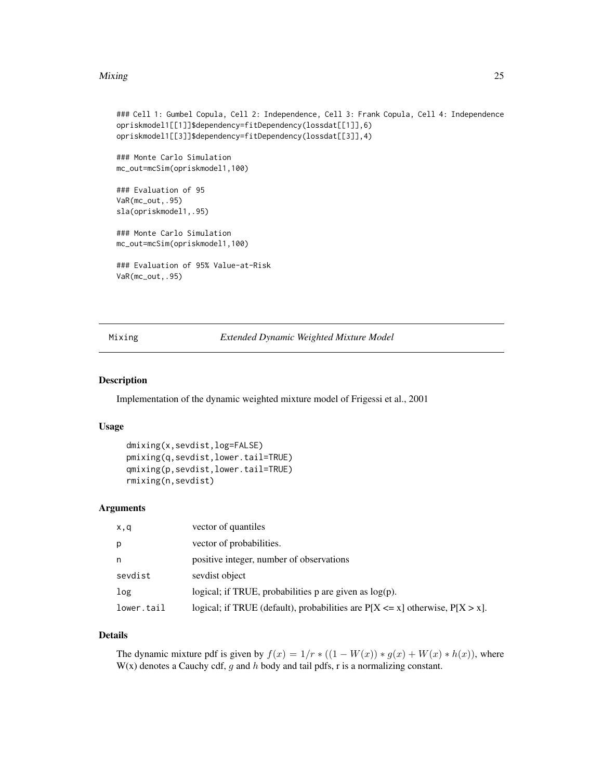#### <span id="page-24-0"></span>Mixing 25

```
### Cell 1: Gumbel Copula, Cell 2: Independence, Cell 3: Frank Copula, Cell 4: Independence
opriskmodel1[[1]]$dependency=fitDependency(lossdat[[1]],6)
opriskmodel1[[3]]$dependency=fitDependency(lossdat[[3]],4)
### Monte Carlo Simulation
mc_out=mcSim(opriskmodel1,100)
### Evaluation of 95
VaR(mc_out,.95)
sla(opriskmodel1,.95)
### Monte Carlo Simulation
mc_out=mcSim(opriskmodel1,100)
### Evaluation of 95% Value-at-Risk
VaR(mc_out,.95)
```
Mixing *Extended Dynamic Weighted Mixture Model*

# Description

Implementation of the dynamic weighted mixture model of Frigessi et al., 2001

# Usage

```
dmixing(x,sevdist,log=FALSE)
pmixing(q,sevdist,lower.tail=TRUE)
qmixing(p,sevdist,lower.tail=TRUE)
rmixing(n,sevdist)
```
# Arguments

| x,q        | vector of quantiles                                                                |
|------------|------------------------------------------------------------------------------------|
| р          | vector of probabilities.                                                           |
| n          | positive integer, number of observations                                           |
| sevdist    | sevdist object                                                                     |
| log        | logical; if TRUE, probabilities $p$ are given as $log(p)$ .                        |
| lower.tail | logical; if TRUE (default), probabilities are $P[X \le x]$ otherwise, $P[X > x]$ . |

#### Details

The dynamic mixture pdf is given by  $f(x) = 1/r * ((1 - W(x)) * g(x) + W(x) * h(x))$ , where  $W(x)$  denotes a Cauchy cdf, g and h body and tail pdfs, r is a normalizing constant.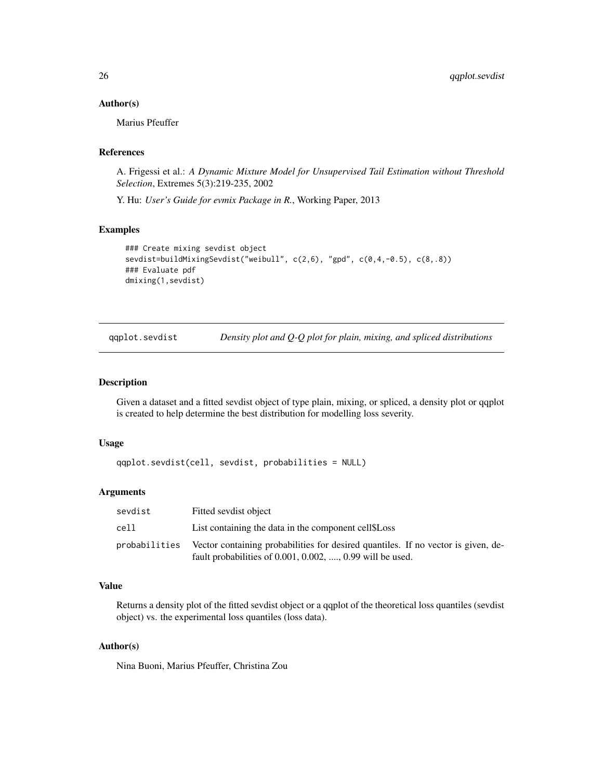#### <span id="page-25-0"></span>Author(s)

Marius Pfeuffer

# References

A. Frigessi et al.: *A Dynamic Mixture Model for Unsupervised Tail Estimation without Threshold Selection*, Extremes 5(3):219-235, 2002

Y. Hu: *User's Guide for evmix Package in R.*, Working Paper, 2013

# Examples

```
### Create mixing sevdist object
sevdist=buildMixingSevdist("weibull", c(2,6), "gpd", c(0,4,-0.5), c(8,.8))
### Evaluate pdf
dmixing(1,sevdist)
```
qqplot.sevdist *Density plot and Q-Q plot for plain, mixing, and spliced distributions*

# Description

Given a dataset and a fitted sevdist object of type plain, mixing, or spliced, a density plot or qqplot is created to help determine the best distribution for modelling loss severity.

## Usage

```
qqplot.sevdist(cell, sevdist, probabilities = NULL)
```
# Arguments

| sevdist       | Fitted sevdist object                                                                                                                                  |
|---------------|--------------------------------------------------------------------------------------------------------------------------------------------------------|
| cell          | List containing the data in the component cell \$Loss                                                                                                  |
| probabilities | Vector containing probabilities for desired quantiles. If no vector is given, de-<br>fault probabilities of $0.001, 0.002, \ldots, 0.99$ will be used. |

# Value

Returns a density plot of the fitted sevdist object or a qqplot of the theoretical loss quantiles (sevdist object) vs. the experimental loss quantiles (loss data).

# Author(s)

Nina Buoni, Marius Pfeuffer, Christina Zou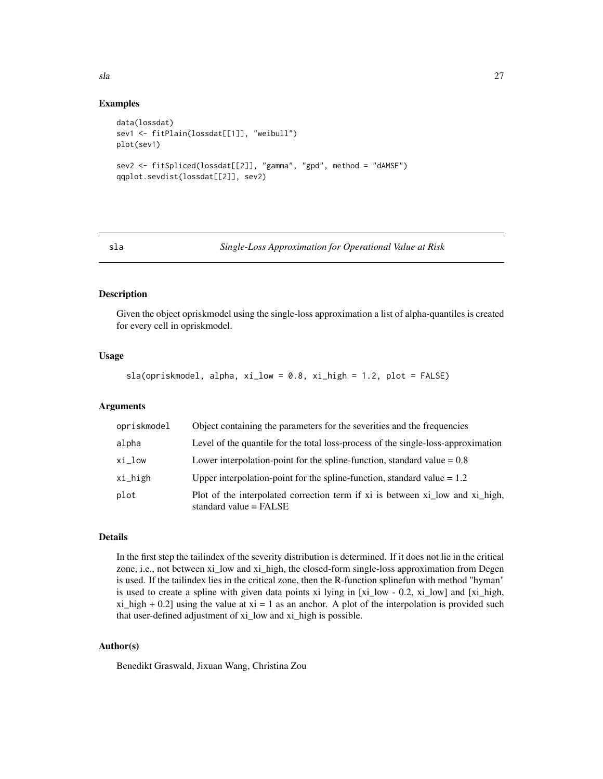# Examples

```
data(lossdat)
sev1 <- fitPlain(lossdat[[1]], "weibull")
plot(sev1)
sev2 <- fitSpliced(lossdat[[2]], "gamma", "gpd", method = "dAMSE")
qqplot.sevdist(lossdat[[2]], sev2)
```
#### <span id="page-26-1"></span>sla *Single-Loss Approximation for Operational Value at Risk*

#### Description

Given the object opriskmodel using the single-loss approximation a list of alpha-quantiles is created for every cell in opriskmodel.

# Usage

sla(opriskmodel, alpha, xi\_low = 0.8, xi\_high = 1.2, plot = FALSE)

# Arguments

| opriskmodel | Object containing the parameters for the severities and the frequencies                                   |
|-------------|-----------------------------------------------------------------------------------------------------------|
| alpha       | Level of the quantile for the total loss-process of the single-loss-approximation                         |
| xi_low      | Lower interpolation-point for the spline-function, standard value $= 0.8$                                 |
| xi_high     | Upper interpolation-point for the spline-function, standard value $= 1.2$                                 |
| plot        | Plot of the interpolated correction term if xi is between xi low and xi high,<br>standard value $=$ FALSE |

# Details

In the first step the tailindex of the severity distribution is determined. If it does not lie in the critical zone, i.e., not between xi\_low and xi\_high, the closed-form single-loss approximation from Degen is used. If the tailindex lies in the critical zone, then the R-function splinefun with method "hyman" is used to create a spline with given data points xi lying in [xi\_low - 0.2, xi\_low] and [xi\_high,  $x_i$  high + 0.2] using the value at  $x_i = 1$  as an anchor. A plot of the interpolation is provided such that user-defined adjustment of xi\_low and xi\_high is possible.

# Author(s)

Benedikt Graswald, Jixuan Wang, Christina Zou

<span id="page-26-0"></span>sla 27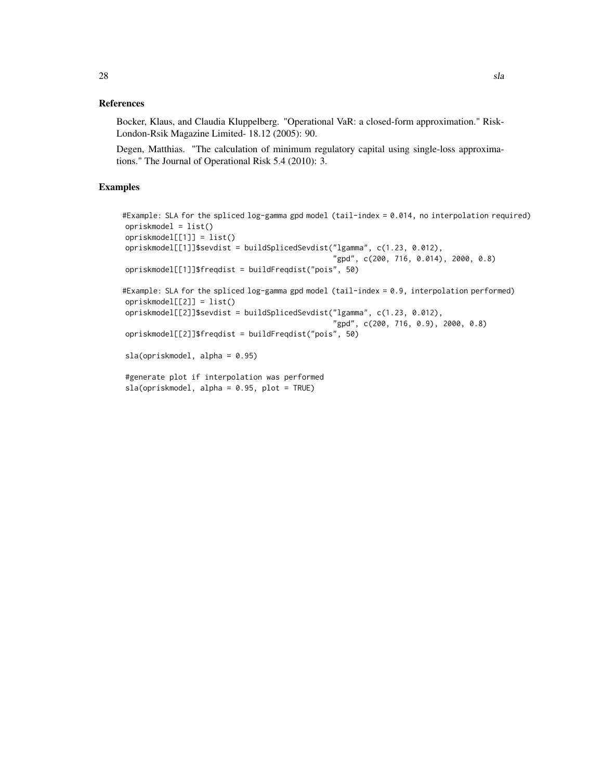#### References

Bocker, Klaus, and Claudia Kluppelberg. "Operational VaR: a closed-form approximation." Risk-London-Rsik Magazine Limited- 18.12 (2005): 90.

Degen, Matthias. "The calculation of minimum regulatory capital using single-loss approximations." The Journal of Operational Risk 5.4 (2010): 3.

```
#Example: SLA for the spliced log-gamma gpd model (tail-index = 0.014, no interpolation required)
opriskmodel = list()
opriskmodel[[1]] = list()
opriskmodel[[1]]$sevdist = buildSplicedSevdist("lgamma", c(1.23, 0.012),
                                                "gpd", c(200, 716, 0.014), 2000, 0.8)
opriskmodel[[1]]$freqdist = buildFreqdist("pois", 50)
#Example: SLA for the spliced log-gamma gpd model (tail-index = 0.9, interpolation performed)
opriskmodel[[2]] = list()
opriskmodel[[2]]$sevdist = buildSplicedSevdist("lgamma", c(1.23, 0.012),
                                                "gpd", c(200, 716, 0.9), 2000, 0.8)
opriskmodel[[2]]$freqdist = buildFreqdist("pois", 50)
sla(opriskmodel, alpha = 0.95)
#generate plot if interpolation was performed
```

```
sla(opriskmodel, alpha = 0.95, plot = TRUE)
```